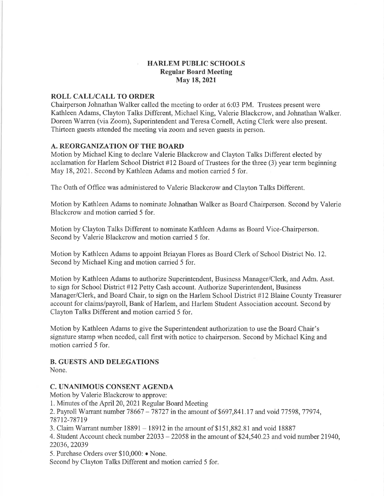### HARLEM PUBLIC SCHOOLS Regular Board Meeting May 18,2021

## ROLL CALL/CALL TO ORDER

Chairperson Johnathan Walker called the meeting to order at 6:03 PM. Trustees present were Kathleen Adams, Clayton Talks Different, Michael King, Valerie Blackcrow, and Johnathan Walker. Doreen Warren (via Zoom), Superintendent and Teresa Cornell, Acting Clerk were also present. Thirteen guests attended the meeting via zoom and seven guests in person.

### A. REORGANIZATION OF THE BOARI)

Motion by Michael King to declare Valerie Blackcrow and Clayton Talks Different elected by acclamation for Harlem School District  $#12$  Board of Trustees for the three  $(3)$  year term beginning May 18, 2021. Second by Kathleen Adams and motion carried 5 for.

The Oath of Office was administered to Valerie Blackcrow and Clayton Talks Different.

Motion by Kathleen Adams to nominate Johnathan Walker as Board Chairperson. Second by Valerie Blackcrow and motion carried 5 for.

Motion by Clayton Talks Different to nominate Kathleen Adams as Board Vice-Chairperson. Second by Valerie Blackcrow and motion carried 5 for.

Motion by Kathleen Adams to appoint Briayan Flores as Board Clerk of School District No. 12. Second by Michael King and motion carried 5 for.

Motion by Kathleen Adams to authorize Superintendent, Business Manager/Clerk, and Adm. Asst. to sign for School District #12 Petty Cash account. Authorize Superintendent, Business Manager/Clerk, and Board Chair, to sign on the Harlem School District #12 Blaine County Treasurer account for claims/payroll, Bank of Harlem, and Harlem Student Association account. Second by Clayton Talks Different and motion carried 5 for.

Motion by Kathleen Adams to give the Superintendent authorization to use the Board Chair's signature stamp when needed, call first with notice to chairperson. Second by Michael King and motion carried 5 for.

#### B. GUESTS AND DELEGATIONS None.

### C. UNANIMOUS CONSENT AGENDA

Motion by Valerie Blackcrow to approve:

1. Minutes of the April20, 2021 Regular Board Meeting

2. Payroll Warrant number 78667 - 78727 in the amount of \$697,841.17 and void 77598, 77974, 787 12-787 19

3. Claim Warrant number 18891 - I89I2 in the amount of \$151,882.81 and void <sup>18887</sup>

4. Student Account check number 22033 - 22058 in the amount of 524,540.23 and void number 21940, 22036,22039

5. Purchase Orders over \$10,000: • None.

Second by Clayton Talks Different and motion carried 5 for.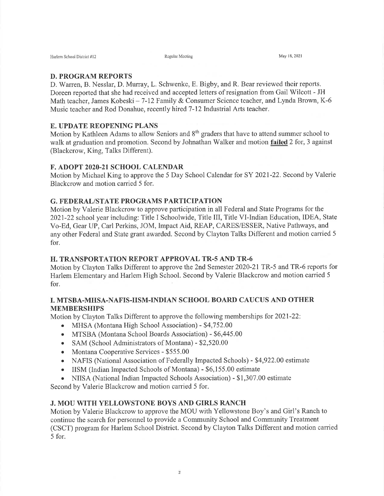#### D. PROGRAM REPORTS

D. Warren, B. Nesslar, D. Murray, L. Schwenke, E. Bigby, and R, Bear reviewed their reports. Doreen reported that she had received and accepted letters of resignation from Gail Wilcott - JH Math teacher, James Kobeski – 7-12 Family & Consumer Science teacher, and Lynda Brown, K-6 Music teacher and Rod Donahue, recently hired 7-12 Industrial Arts teacher.

## E. UPDATE REOPENING PLANS

Motion by Kathleen Adams to allow Seniors and 8<sup>th</sup> graders that have to attend summer school to walk at graduation and promotion. Second by Johnathan Walker and motion **failed** 2 for, 3 against (Blackcrow, King, Talks Different).

#### F. ADOPT 2020-21 SCHOOL CALENDAR

Motion by Michael King to approve the 5 Day School Calendar for SY 202I-22. Second by Valerie Blackcrow and motion carried 5 for.

#### G. FEDERAL/STATE PROGRAMS PARTICIPATION

Motion by Valerie Blackcrow to approve participation in all Federal and State Programs for the 2021-22 school year including: Title I Schoolwide, Title III, Title Vl-Indian Education, IDEA, State Vo-Ed, Gear UP, Carl Perkins, JOM, Impact Aid, REAP, CARES/ESSER, Native Pathways, and any other Federal and State grant awarded. Second by Clayton Talks Different and motion carried <sup>5</sup> for.

### H. TRANSPORTATION REPORT APPROVAL TR-s AND TR-6

Motion by Clayton Talks Different to approve the 2nd Semester 2020-21TR-5 and TR-6 reports for Harlem Elementary and Harlem High School. Second by Valerie Blackcrow and motion carried <sup>5</sup> for.

# I. MTSBA.MHSA-NAFIS-IISM-INDIAN SCHOOL BOARD CAUCUS AND OTHER MEMBERSHIPS

Motion by Clayton Talks Different to approve the following memberships for 2021-22:

- o MHSA (Montana High School Association) \$4,752.00
- MTSBA (Montana School Boards Association) \$6,445.00
- SAM (School Administrators of Montana) \$2,520.00
- Montana Cooperative Services \$555.00
- NAFIS (National Association of Federally Impacted Schools) \$4,922.00 estimate
- o IISM (Indian Impacted Schools of Montana) \$6,155.00 estimate
- NIISA (National Indian Impacted Schools Association) \$1,307.00 estimate

Second by Valerie Blackcrow and motion carried 5 for.

# J. MOU WITH YELLOWSTONE BOYS AND GIRLS RANCH

Motion by Valerie Blackcrow to approve the MOU with Yellowstone Boy's and Girl's Ranch to continue the search for personnel to provide a Community School and Community Treatment (CSCT) program for Harlem School District. Second by Clayton Talks Different and motion carried 5 for.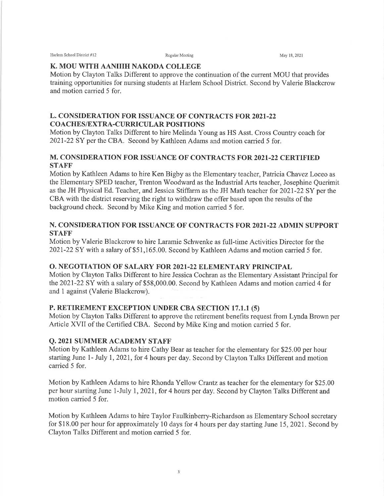Harlem School District #12 **Regular Meeting** Regular Meeting May 18, 2021

### K. MOU WITH AANIIIH NAKODA COLLEGE

Motion by Clayton Talks Different to approve the continuation of the current MOU that provides training opporrunities for nursing students at Harlem School District. Second by Valerie Blackcrow and motion carried 5 for.

# L. CONSIDERATION FOR ISSUANCE OF CONTRACTS FOR2O2I-22 COACHES/EXTRA-CURRICULAR POSITIONS

Motion by Clayton Talks Different to hire Melinda Young as HS Asst. Cross Country coach for 2021-22 SY per the CBA. Second by Kathleen Adams and motion carried 5 for.

# M. CONSIDERATION FOR ISSUANCE OF CONTRACTS FOR 2021-22 CERTIFIED **STAFF**

Motion by Kathleen Adams to hire Ken Bigby as the Elementary teacher, Patricia Chavez Loceo as the Elementary SPED teacher, Trenton Woodward as the Industrial Arts teacher, Josephine Querimit as the JH Physical Ed. Teacher, and Jessica Stiffarm as the JH Math teacher for 202I-22 SY per the CBA with the district reserving the right to withdraw the offer based upon the results of the background check. Second by Mike King and motion carried 5 for.

## N. CONSIDERATION FOR ISSUANCE OF CONTRACTS FOR 2021-22 ADMIN SUPPORT **STAFF**

Motion by Valerie Blackcrow to hire Laramie Schwenke as full-time Activities Director for the 202I-22 SY with a salary of \$51,165.00. Second by Kathleen Adams and motion carried 5 for.

# O. NEGOTIATION OF SALARY FOR 2021-22 ELEMENTARY PRINCIPAL

Motion by Clayton Talks Different to hire Jessica Cochran as the Elementary Assistant Principal for the 2021-22 SY with a salary of \$58,000.00. Second by Kathleen Adams and motion carried 4 for and I against (Valerie Blackcrow).

# P. RETIREMENT EXCEPTION UNDER CBA SECTION 17.1.1 (5)

Motion by Clayton Talks Different to approve the retirement benefits request from Lynda Brown per Article XVII of the Certified CBA. Second by Mike King and motion carried 5 for.

## Q. 2021 SUMMER ACADEMY STAFF

Motion by Kathleen Adams to hire Cathy Bear as teacher for the elementary for \$25.00 per hour starting June 1- July 1, 2021, for 4 hours per day, Second by Clayton Talks Different and motion carried 5 for.

Motion by Kathleen Adams to hire Rhonda Yellow Crantz as teacher for the elementary for \$25.00 per hour starting June 1-July 1, 2021, for 4 hours per day. Second by Clayton Talks Different and motion carried 5 for.

Motion by Kathleen Adams to hire Taylor Faulkinberry-Richardson as Elementary School secretary for \$18.00 per hour for approximately 10 days for 4 hours per day starting June 15, 2021. Second by Clayton Talks Different and motion carried 5 for.